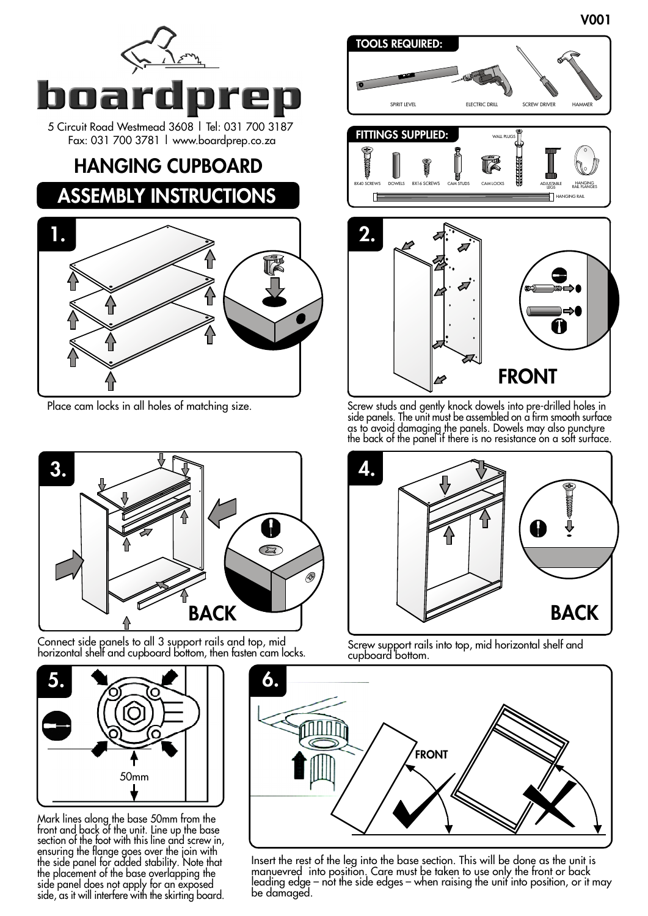





Connect side panels to all 3 support rails and top, mid horizontal shelf and cupboard bottom, then fasten cam locks.



Mark lines along the base 50mm from the front and back of the unit. Line up the base section of the foot with this line and screw in, ensuring the flange goes over the join with the side panel for added stability. Note that the placement of the base overlapping the side panel does not apply for an exposed side, as it will interfere with the skirting board.



Place cam locks in all holes of matching size. Screw studs and gently knock dowels into pre-drilled holes in side panels. The unit must be assembled on a firm smooth surface as to avoid damaging the panels. Dowels may also puncture the back of the panel if there is no resistance on a soft surface.

**FRONT** 



Screw support rails into top, mid horizontal shelf and cupboard bottom.



Insert the rest of the leg into the base section. This will be done as the unit is manuevred into position. Care must be taken to use only the front or back leading edge – not the side edges – when raising the unit into position, or it may be damaged.